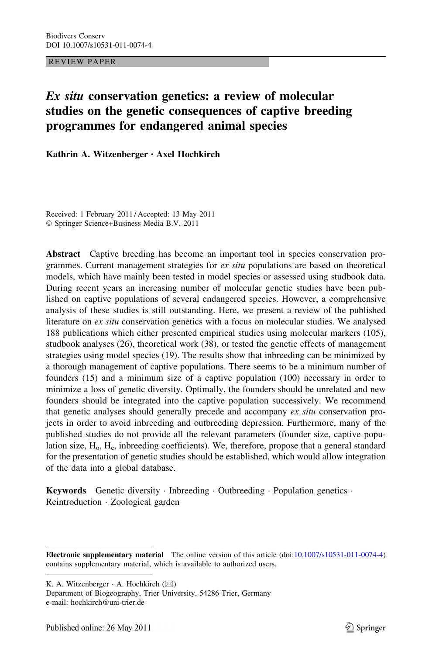REVIEW PAPER

# Ex situ conservation genetics: a review of molecular studies on the genetic consequences of captive breeding programmes for endangered animal species

Kathrin A. Witzenberger • Axel Hochkirch

Received: 1 February 2011 / Accepted: 13 May 2011 - Springer Science+Business Media B.V. 2011

Abstract Captive breeding has become an important tool in species conservation programmes. Current management strategies for  $ex\, situ$  populations are based on theoretical models, which have mainly been tested in model species or assessed using studbook data. During recent years an increasing number of molecular genetic studies have been published on captive populations of several endangered species. However, a comprehensive analysis of these studies is still outstanding. Here, we present a review of the published literature on ex situ conservation genetics with a focus on molecular studies. We analysed 188 publications which either presented empirical studies using molecular markers (105), studbook analyses (26), theoretical work (38), or tested the genetic effects of management strategies using model species (19). The results show that inbreeding can be minimized by a thorough management of captive populations. There seems to be a minimum number of founders (15) and a minimum size of a captive population (100) necessary in order to minimize a loss of genetic diversity. Optimally, the founders should be unrelated and new founders should be integrated into the captive population successively. We recommend that genetic analyses should generally precede and accompany ex situ conservation projects in order to avoid inbreeding and outbreeding depression. Furthermore, many of the published studies do not provide all the relevant parameters (founder size, captive population size,  $H_0$ ,  $H_e$ , inbreeding coefficients). We, therefore, propose that a general standard for the presentation of genetic studies should be established, which would allow integration of the data into a global database.

Keywords Genetic diversity · Inbreeding · Outbreeding · Population genetics · Reintroduction - Zoological garden

Department of Biogeography, Trier University, 54286 Trier, Germany e-mail: hochkirch@uni-trier.de

Electronic supplementary material The online version of this article (doi[:10.1007/s10531-011-0074-4\)](http://dx.doi.org/10.1007/s10531-011-0074-4) contains supplementary material, which is available to authorized users.

K. A. Witzenberger  $\cdot$  A. Hochkirch ( $\boxtimes$ )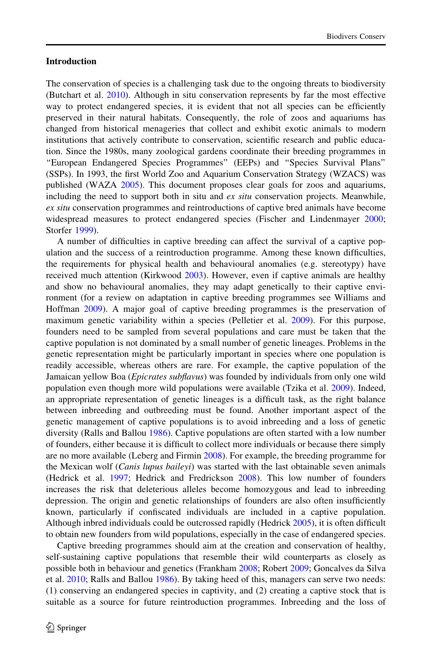# Introduction

The conservation of species is a challenging task due to the ongoing threats to biodiversity (Butchart et al. [2010](#page-15-0)). Although in situ conservation represents by far the most effective way to protect endangered species, it is evident that not all species can be efficiently preserved in their natural habitats. Consequently, the role of zoos and aquariums has changed from historical menageries that collect and exhibit exotic animals to modern institutions that actively contribute to conservation, scientific research and public education. Since the 1980s, many zoological gardens coordinate their breeding programmes in ''European Endangered Species Programmes'' (EEPs) and ''Species Survival Plans'' (SSPs). In 1993, the first World Zoo and Aquarium Conservation Strategy (WZACS) was published (WAZA [2005\)](#page-18-0). This document proposes clear goals for zoos and aquariums, including the need to support both in situ and *ex situ* conservation projects. Meanwhile, ex situ conservation programmes and reintroductions of captive bred animals have become widespread measures to protect endangered species (Fischer and Lindenmayer [2000;](#page-16-0) Storfer [1999](#page-18-0)).

A number of difficulties in captive breeding can affect the survival of a captive population and the success of a reintroduction programme. Among these known difficulties, the requirements for physical health and behavioural anomalies (e.g. stereotypy) have received much attention (Kirkwood [2003\)](#page-16-0). However, even if captive animals are healthy and show no behavioural anomalies, they may adapt genetically to their captive environment (for a review on adaptation in captive breeding programmes see Williams and Hoffman [2009](#page-18-0)). A major goal of captive breeding programmes is the preservation of maximum genetic variability within a species (Pelletier et al. [2009](#page-17-0)). For this purpose, founders need to be sampled from several populations and care must be taken that the captive population is not dominated by a small number of genetic lineages. Problems in the genetic representation might be particularly important in species where one population is readily accessible, whereas others are rare. For example, the captive population of the Jamaican yellow Boa (*Epicrates subflavus*) was founded by individuals from only one wild population even though more wild populations were available (Tzika et al. [2009](#page-18-0)). Indeed, an appropriate representation of genetic lineages is a difficult task, as the right balance between inbreeding and outbreeding must be found. Another important aspect of the genetic management of captive populations is to avoid inbreeding and a loss of genetic diversity (Ralls and Ballou [1986](#page-17-0)). Captive populations are often started with a low number of founders, either because it is difficult to collect more individuals or because there simply are no more available (Leberg and Firmin [2008](#page-17-0)). For example, the breeding programme for the Mexican wolf (Canis lupus baileyi) was started with the last obtainable seven animals (Hedrick et al. [1997](#page-16-0); Hedrick and Fredrickson [2008](#page-16-0)). This low number of founders increases the risk that deleterious alleles become homozygous and lead to inbreeding depression. The origin and genetic relationships of founders are also often insufficiently known, particularly if confiscated individuals are included in a captive population. Although inbred individuals could be outcrossed rapidly (Hedrick [2005\)](#page-16-0), it is often difficult to obtain new founders from wild populations, especially in the case of endangered species.

Captive breeding programmes should aim at the creation and conservation of healthy, self-sustaining captive populations that resemble their wild counterparts as closely as possible both in behaviour and genetics (Frankham [2008](#page-16-0); Robert [2009](#page-17-0); Goncalves da Silva et al. [2010;](#page-16-0) Ralls and Ballou [1986](#page-17-0)). By taking heed of this, managers can serve two needs: (1) conserving an endangered species in captivity, and (2) creating a captive stock that is suitable as a source for future reintroduction programmes. Inbreeding and the loss of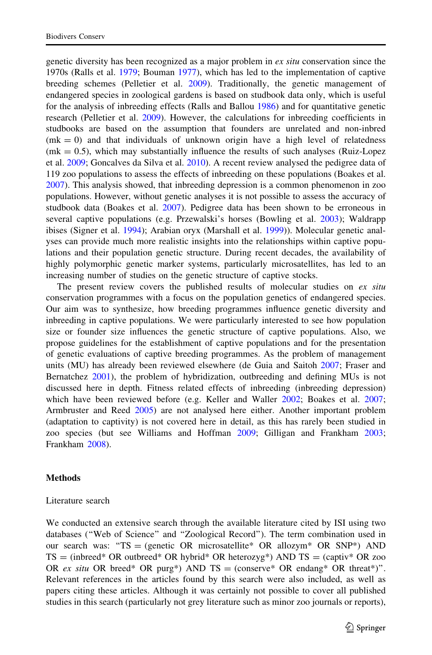genetic diversity has been recognized as a major problem in ex situ conservation since the 1970s (Ralls et al. [1979;](#page-17-0) Bouman [1977\)](#page-15-0), which has led to the implementation of captive breeding schemes (Pelletier et al. [2009\)](#page-17-0). Traditionally, the genetic management of endangered species in zoological gardens is based on studbook data only, which is useful for the analysis of inbreeding effects (Ralls and Ballou [1986\)](#page-17-0) and for quantitative genetic research (Pelletier et al. [2009\)](#page-17-0). However, the calculations for inbreeding coefficients in studbooks are based on the assumption that founders are unrelated and non-inbred  $(mk = 0)$  and that individuals of unknown origin have a high level of relatedness  $(mk = 0.5)$ , which may substantially influence the results of such analyses (Ruiz-Lopez et al. [2009](#page-17-0); Goncalves da Silva et al. [2010\)](#page-16-0). A recent review analysed the pedigree data of 119 zoo populations to assess the effects of inbreeding on these populations (Boakes et al. [2007\)](#page-15-0). This analysis showed, that inbreeding depression is a common phenomenon in zoo populations. However, without genetic analyses it is not possible to assess the accuracy of studbook data (Boakes et al. [2007](#page-15-0)). Pedigree data has been shown to be erroneous in several captive populations (e.g. Przewalski's horses (Bowling et al. [2003\)](#page-15-0); Waldrapp ibises (Signer et al. [1994](#page-18-0)); Arabian oryx (Marshall et al. [1999\)](#page-17-0)). Molecular genetic analyses can provide much more realistic insights into the relationships within captive populations and their population genetic structure. During recent decades, the availability of highly polymorphic genetic marker systems, particularly microsatellites, has led to an increasing number of studies on the genetic structure of captive stocks.

The present review covers the published results of molecular studies on  $ex$  situ conservation programmes with a focus on the population genetics of endangered species. Our aim was to synthesize, how breeding programmes influence genetic diversity and inbreeding in captive populations. We were particularly interested to see how population size or founder size influences the genetic structure of captive populations. Also, we propose guidelines for the establishment of captive populations and for the presentation of genetic evaluations of captive breeding programmes. As the problem of management units (MU) has already been reviewed elsewhere (de Guia and Saitoh [2007](#page-16-0); Fraser and Bernatchez [2001\)](#page-16-0), the problem of hybridization, outbreeding and defining MUs is not discussed here in depth. Fitness related effects of inbreeding (inbreeding depression) which have been reviewed before (e.g. Keller and Waller [2002;](#page-16-0) Boakes et al. [2007;](#page-15-0) Armbruster and Reed [2005](#page-15-0)) are not analysed here either. Another important problem (adaptation to captivity) is not covered here in detail, as this has rarely been studied in zoo species (but see Williams and Hoffman [2009](#page-18-0); Gilligan and Frankham [2003;](#page-16-0) Frankham [2008\)](#page-16-0).

## Methods

#### Literature search

We conducted an extensive search through the available literature cited by ISI using two databases (''Web of Science'' and ''Zoological Record''). The term combination used in our search was: "TS = (genetic OR microsatellite\* OR allozym\* OR SNP\*) AND  $TS = (inbreed* OR outbreed* OR hybrid* OR heterozyg*) AND TS = (captiv* OR zo$ OR ex situ OR breed\* OR purg\*) AND TS = (conserve\* OR endang\* OR threat\*)". Relevant references in the articles found by this search were also included, as well as papers citing these articles. Although it was certainly not possible to cover all published studies in this search (particularly not grey literature such as minor zoo journals or reports),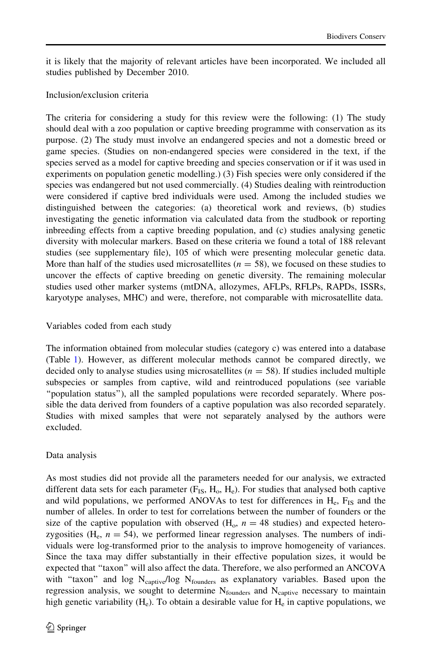it is likely that the majority of relevant articles have been incorporated. We included all studies published by December 2010.

# Inclusion/exclusion criteria

The criteria for considering a study for this review were the following: (1) The study should deal with a zoo population or captive breeding programme with conservation as its purpose. (2) The study must involve an endangered species and not a domestic breed or game species. (Studies on non-endangered species were considered in the text, if the species served as a model for captive breeding and species conservation or if it was used in experiments on population genetic modelling.) (3) Fish species were only considered if the species was endangered but not used commercially. (4) Studies dealing with reintroduction were considered if captive bred individuals were used. Among the included studies we distinguished between the categories: (a) theoretical work and reviews, (b) studies investigating the genetic information via calculated data from the studbook or reporting inbreeding effects from a captive breeding population, and (c) studies analysing genetic diversity with molecular markers. Based on these criteria we found a total of 188 relevant studies (see supplementary file), 105 of which were presenting molecular genetic data. More than half of the studies used microsatellites ( $n = 58$ ), we focused on these studies to uncover the effects of captive breeding on genetic diversity. The remaining molecular studies used other marker systems (mtDNA, allozymes, AFLPs, RFLPs, RAPDs, ISSRs, karyotype analyses, MHC) and were, therefore, not comparable with microsatellite data.

# Variables coded from each study

The information obtained from molecular studies (category c) was entered into a database (Table [1](#page-4-0)). However, as different molecular methods cannot be compared directly, we decided only to analyse studies using microsatellites ( $n = 58$ ). If studies included multiple subspecies or samples from captive, wild and reintroduced populations (see variable ''population status''), all the sampled populations were recorded separately. Where possible the data derived from founders of a captive population was also recorded separately. Studies with mixed samples that were not separately analysed by the authors were excluded.

# Data analysis

As most studies did not provide all the parameters needed for our analysis, we extracted different data sets for each parameter  $(F_{IS}, H_o, H_e)$ . For studies that analysed both captive and wild populations, we performed ANOVAs to test for differences in  $H_e$ ,  $F_{IS}$  and the number of alleles. In order to test for correlations between the number of founders or the size of the captive population with observed  $(H_0, n = 48$  studies) and expected heterozygosities ( $H_e$ ,  $n = 54$ ), we performed linear regression analyses. The numbers of individuals were log-transformed prior to the analysis to improve homogeneity of variances. Since the taxa may differ substantially in their effective population sizes, it would be expected that ''taxon'' will also affect the data. Therefore, we also performed an ANCOVA with "taxon" and log N<sub>captive</sub>/log N<sub>founders</sub> as explanatory variables. Based upon the regression analysis, we sought to determine  $N_{\text{founders}}$  and  $N_{\text{capture}}$  necessary to maintain high genetic variability  $(H_e)$ . To obtain a desirable value for  $H_e$  in captive populations, we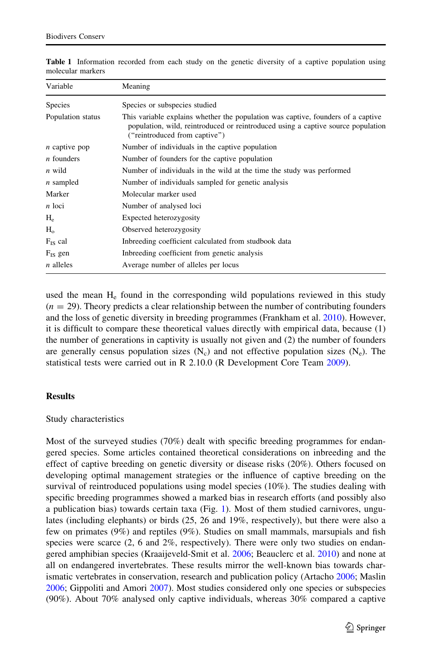| Variable             | Meaning                                                                                                                                                                                               |  |  |  |  |
|----------------------|-------------------------------------------------------------------------------------------------------------------------------------------------------------------------------------------------------|--|--|--|--|
| <b>Species</b>       | Species or subspecies studied                                                                                                                                                                         |  |  |  |  |
| Population status    | This variable explains whether the population was captive, founders of a captive<br>population, wild, reintroduced or reintroduced using a captive source population<br>("reintroduced from captive") |  |  |  |  |
| <i>n</i> captive pop | Number of individuals in the captive population                                                                                                                                                       |  |  |  |  |
| <i>n</i> founders    | Number of founders for the captive population                                                                                                                                                         |  |  |  |  |
| n wild               | Number of individuals in the wild at the time the study was performed                                                                                                                                 |  |  |  |  |
| $n$ sampled          | Number of individuals sampled for genetic analysis                                                                                                                                                    |  |  |  |  |
| Marker               | Molecular marker used                                                                                                                                                                                 |  |  |  |  |
| n loci               | Number of analysed loci                                                                                                                                                                               |  |  |  |  |
| $H_{\alpha}$         | Expected heterozygosity                                                                                                                                                                               |  |  |  |  |
| $H_{o}$              | Observed heterozygosity                                                                                                                                                                               |  |  |  |  |
| $F_{IS}$ cal         | Inbreeding coefficient calculated from studbook data                                                                                                                                                  |  |  |  |  |
| $F_{IS}$ gen         | Inbreeding coefficient from genetic analysis                                                                                                                                                          |  |  |  |  |
| $n$ alleles          | Average number of alleles per locus                                                                                                                                                                   |  |  |  |  |

<span id="page-4-0"></span>Table 1 Information recorded from each study on the genetic diversity of a captive population using molecular markers

used the mean  $H<sub>e</sub>$  found in the corresponding wild populations reviewed in this study  $(n = 29)$ . Theory predicts a clear relationship between the number of contributing founders and the loss of genetic diversity in breeding programmes (Frankham et al. [2010\)](#page-16-0). However, it is difficult to compare these theoretical values directly with empirical data, because (1) the number of generations in captivity is usually not given and (2) the number of founders are generally census population sizes  $(N_c)$  and not effective population sizes  $(N_e)$ . The statistical tests were carried out in R 2.10.0 (R Development Core Team [2009](#page-17-0)).

## **Results**

## Study characteristics

Most of the surveyed studies (70%) dealt with specific breeding programmes for endangered species. Some articles contained theoretical considerations on inbreeding and the effect of captive breeding on genetic diversity or disease risks (20%). Others focused on developing optimal management strategies or the influence of captive breeding on the survival of reintroduced populations using model species (10%). The studies dealing with specific breeding programmes showed a marked bias in research efforts (and possibly also a publication bias) towards certain taxa (Fig. [1\)](#page-5-0). Most of them studied carnivores, ungulates (including elephants) or birds (25, 26 and 19%, respectively), but there were also a few on primates (9%) and reptiles (9%). Studies on small mammals, marsupials and fish species were scarce (2, 6 and 2%, respectively). There were only two studies on endangered amphibian species (Kraaijeveld-Smit et al. [2006](#page-17-0); Beauclerc et al. [2010](#page-15-0)) and none at all on endangered invertebrates. These results mirror the well-known bias towards charismatic vertebrates in conservation, research and publication policy (Artacho [2006](#page-15-0); Maslin [2006;](#page-17-0) Gippoliti and Amori [2007](#page-16-0)). Most studies considered only one species or subspecies (90%). About 70% analysed only captive individuals, whereas 30% compared a captive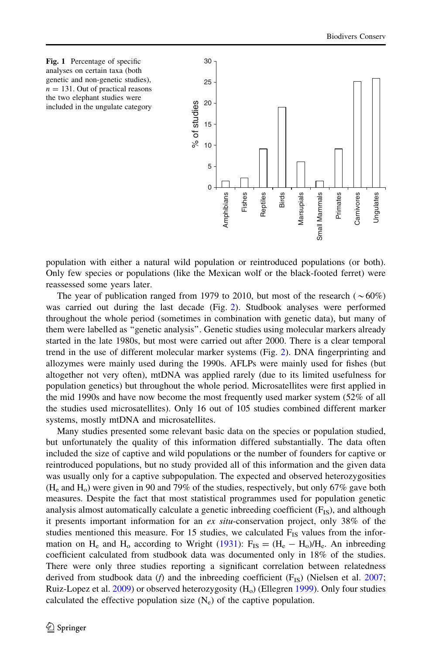<span id="page-5-0"></span>

population with either a natural wild population or reintroduced populations (or both). Only few species or populations (like the Mexican wolf or the black-footed ferret) were reassessed some years later.

The year of publication ranged from 1979 to 2010, but most of the research ( $\sim 60\%$ ) was carried out during the last decade (Fig. [2](#page-6-0)). Studbook analyses were performed throughout the whole period (sometimes in combination with genetic data), but many of them were labelled as ''genetic analysis''. Genetic studies using molecular markers already started in the late 1980s, but most were carried out after 2000. There is a clear temporal trend in the use of different molecular marker systems (Fig. [2](#page-6-0)). DNA fingerprinting and allozymes were mainly used during the 1990s. AFLPs were mainly used for fishes (but altogether not very often), mtDNA was applied rarely (due to its limited usefulness for population genetics) but throughout the whole period. Microsatellites were first applied in the mid 1990s and have now become the most frequently used marker system (52% of all the studies used microsatellites). Only 16 out of 105 studies combined different marker systems, mostly mtDNA and microsatellites.

Many studies presented some relevant basic data on the species or population studied, but unfortunately the quality of this information differed substantially. The data often included the size of captive and wild populations or the number of founders for captive or reintroduced populations, but no study provided all of this information and the given data was usually only for a captive subpopulation. The expected and observed heterozygosities  $(H<sub>e</sub>$  and  $H<sub>o</sub>$ ) were given in 90 and 79% of the studies, respectively, but only 67% gave both measures. Despite the fact that most statistical programmes used for population genetic analysis almost automatically calculate a genetic inbreeding coefficient  $(F_{IS})$ , and although it presents important information for an  $ex$  situ-conservation project, only 38% of the studies mentioned this measure. For 15 studies, we calculated  $F_{IS}$  values from the infor-mation on H<sub>e</sub> and H<sub>o</sub> according to Wright [\(1931](#page-18-0)):  $F_{IS} = (H_e - H_o)/H_e$ . An inbreeding coefficient calculated from studbook data was documented only in 18% of the studies. There were only three studies reporting a significant correlation between relatedness derived from studbook data (f) and the inbreeding coefficient  $(F_{IS})$  (Nielsen et al. [2007;](#page-17-0) Ruiz-Lopez et al.  $2009$ ) or observed heterozygosity  $(H<sub>o</sub>)$  (Ellegren [1999](#page-16-0)). Only four studies calculated the effective population size  $(N_e)$  of the captive population.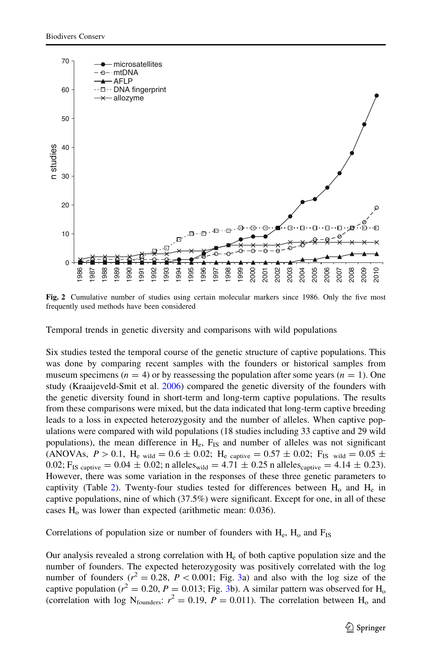<span id="page-6-0"></span>

Fig. 2 Cumulative number of studies using certain molecular markers since 1986. Only the five most frequently used methods have been considered

Temporal trends in genetic diversity and comparisons with wild populations

Six studies tested the temporal course of the genetic structure of captive populations. This was done by comparing recent samples with the founders or historical samples from museum specimens ( $n = 4$ ) or by reassessing the population after some years ( $n = 1$ ). One study (Kraaijeveld-Smit et al. [2006](#page-17-0)) compared the genetic diversity of the founders with the genetic diversity found in short-term and long-term captive populations. The results from these comparisons were mixed, but the data indicated that long-term captive breeding leads to a loss in expected heterozygosity and the number of alleles. When captive populations were compared with wild populations (18 studies including 33 captive and 29 wild populations), the mean difference in  $H_e$ ,  $F_{IS}$  and number of alleles was not significant (ANOVAs,  $P > 0.1$ , H<sub>e wild</sub> =  $0.6 \pm 0.02$ ; H<sub>e captive</sub> =  $0.57 \pm 0.02$ ; F<sub>IS wild</sub> =  $0.05 \pm 0.05$ 0.02; F<sub>IS captive</sub> = 0.04  $\pm$  0.02; n alleles<sub>wild</sub> = 4.71  $\pm$  0.25 n alleles<sub>captive</sub> = 4.14  $\pm$  0.23). However, there was some variation in the responses of these three genetic parameters to captivity (Table [2](#page-7-0)). Twenty-four studies tested for differences between  $H_0$  and  $H_e$  in captive populations, nine of which (37.5%) were significant. Except for one, in all of these cases  $H<sub>o</sub>$  was lower than expected (arithmetic mean: 0.036).

Correlations of population size or number of founders with  $H_e$ ,  $H_o$  and  $F_{IS}$ 

Our analysis revealed a strong correlation with  $H<sub>e</sub>$  of both captive population size and the number of founders. The expected heterozygosity was positively correlated with the log number of founders  $(r^2 = 0.28, P < 0.001$ ; Fig. [3a](#page-8-0)) and also with the log size of the captive population ( $r^2 = 0.20$ ,  $P = 0.013$  $P = 0.013$ ; Fig. 3b). A similar pattern was observed for H<sub>o</sub> (correlation with log N<sub>founders</sub>:  $r^2 = 0.19$ ,  $P = 0.011$ ). The correlation between H<sub>o</sub> and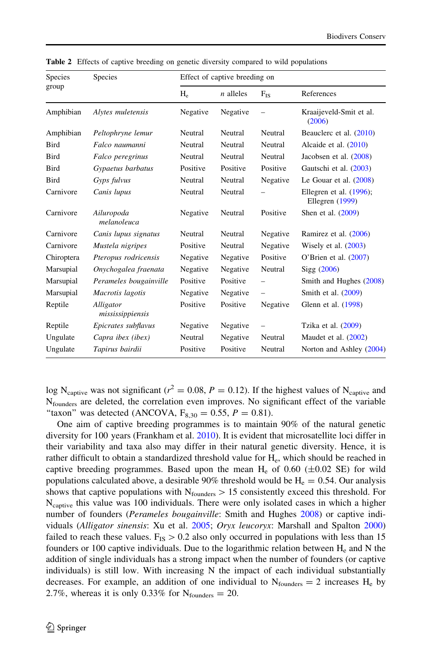| Species<br>group | Species                       | Effect of captive breeding on |             |                          |                                                 |
|------------------|-------------------------------|-------------------------------|-------------|--------------------------|-------------------------------------------------|
|                  |                               | $H_e$                         | $n$ alleles | $F_{IS}$                 | References                                      |
| Amphibian        | Alytes muletensis             | Negative                      | Negative    |                          | Kraaijeveld-Smit et al.<br>(2006)               |
| Amphibian        | Peltophryne lemur             | Neutral                       | Neutral     | Neutral                  | Beauclerc et al. (2010)                         |
| <b>Bird</b>      | Falco naumanni                | Neutral                       | Neutral     | Neutral                  | Alcaide et al. $(2010)$                         |
| Bird             | Falco peregrinus              | Neutral                       | Neutral     | Neutral                  | Jacobsen et al. (2008)                          |
| <b>Bird</b>      | Gypaetus barbatus             | Positive                      | Positive    | Positive                 | Gautschi et al. (2003)                          |
| <b>Bird</b>      | Gyps fulvus                   | Neutral                       | Neutral     | Negative                 | Le Gouar et al. $(2008)$                        |
| Carnivore        | Canis lupus                   | Neutral                       | Neutral     |                          | Ellegren et al. $(1996)$ ;<br>Ellegren $(1999)$ |
| Carnivore        | Ailuropoda<br>melanoleuca     | Negative                      | Neutral     | Positive                 | Shen et al. (2009)                              |
| Carnivore        | Canis lupus signatus          | Neutral                       | Neutral     | Negative                 | Ramirez et al. (2006)                           |
| Carnivore        | Mustela nigripes              | Positive                      | Neutral     | Negative                 | Wisely et al. $(2003)$                          |
| Chiroptera       | Pteropus rodricensis          | Negative                      | Negative    | Positive                 | O'Brien et al. $(2007)$                         |
| Marsupial        | Onychogalea fraenata          | Negative                      | Negative    | Neutral                  | Sigg(2006)                                      |
| Marsupial        | Perameles bougainville        | Positive                      | Positive    |                          | Smith and Hughes (2008)                         |
| Marsupial        | Macrotis lagotis              | Negative                      | Negative    | $\overline{\phantom{0}}$ | Smith et al. (2009)                             |
| Reptile          | Alligator<br>mississippiensis | Positive                      | Positive    | Negative                 | Glenn et al. (1998)                             |
| Reptile          | Epicrates subflavus           | Negative                      | Negative    |                          | Tzika et al. (2009)                             |
| Ungulate         | Capra ibex (ibex)             | Neutral                       | Negative    | Neutral                  | Maudet et al. $(2002)$                          |
| Ungulate         | Tapirus bairdii               | Positive                      | Positive    | Neutral                  | Norton and Ashley (2004)                        |

<span id="page-7-0"></span>Table 2 Effects of captive breeding on genetic diversity compared to wild populations

log N<sub>captive</sub> was not significant ( $r^2 = 0.08$ ,  $P = 0.12$ ). If the highest values of N<sub>captive</sub> and  $N_{\text{founders}}$  are deleted, the correlation even improves. No significant effect of the variable "taxon" was detected (ANCOVA,  $F_{8,30} = 0.55$ ,  $P = 0.81$ ).

One aim of captive breeding programmes is to maintain 90% of the natural genetic diversity for 100 years (Frankham et al. [2010](#page-16-0)). It is evident that microsatellite loci differ in their variability and taxa also may differ in their natural genetic diversity. Hence, it is rather difficult to obtain a standardized threshold value for H<sub>e</sub>, which should be reached in captive breeding programmes. Based upon the mean  $H_e$  of 0.60 ( $\pm$ 0.02 SE) for wild populations calculated above, a desirable 90% threshold would be  $H_e = 0.54$ . Our analysis shows that captive populations with  $N_{\text{founders}} > 15$  consistently exceed this threshold. For N<sub>captive</sub> this value was 100 individuals. There were only isolated cases in which a higher number of founders (Perameles bougainville: Smith and Hughes [2008\)](#page-18-0) or captive individuals (Alligator sinensis: Xu et al. [2005](#page-18-0); Oryx leucoryx: Marshall and Spalton [2000](#page-17-0)) failed to reach these values.  $F_{IS} > 0.2$  also only occurred in populations with less than 15 founders or 100 captive individuals. Due to the logarithmic relation between  $H<sub>e</sub>$  and N the addition of single individuals has a strong impact when the number of founders (or captive individuals) is still low. With increasing N the impact of each individual substantially decreases. For example, an addition of one individual to  $N_{\text{founders}} = 2$  increases  $H_e$  by 2.7%, whereas it is only 0.33% for  $N_{\text{founders}} = 20$ .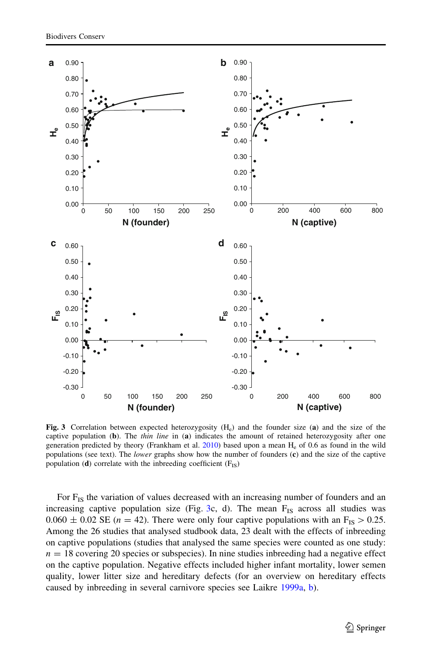<span id="page-8-0"></span>

Fig. 3 Correlation between expected heterozygosity (H<sub>e</sub>) and the founder size (a) and the size of the captive population (b). The *thin line* in (a) indicates the amount of retained heterozygosity after one generation predicted by theory (Frankham et al.  $2010$ ) based upon a mean H<sub>e</sub> of 0.6 as found in the wild populations (see text). The *lower* graphs show how the number of founders (c) and the size of the captive population (d) correlate with the inbreeding coefficient  $(F_{IS})$ 

For  $F_{1S}$  the variation of values decreased with an increasing number of founders and an increasing captive population size (Fig. 3c, d). The mean  $F_{IS}$  across all studies was  $0.060 \pm 0.02$  SE ( $n = 42$ ). There were only four captive populations with an F<sub>IS</sub>  $> 0.25$ . Among the 26 studies that analysed studbook data, 23 dealt with the effects of inbreeding on captive populations (studies that analysed the same species were counted as one study:  $n = 18$  covering 20 species or subspecies). In nine studies inbreeding had a negative effect on the captive population. Negative effects included higher infant mortality, lower semen quality, lower litter size and hereditary defects (for an overview on hereditary effects caused by inbreeding in several carnivore species see Laikre [1999a,](#page-17-0) [b\)](#page-17-0).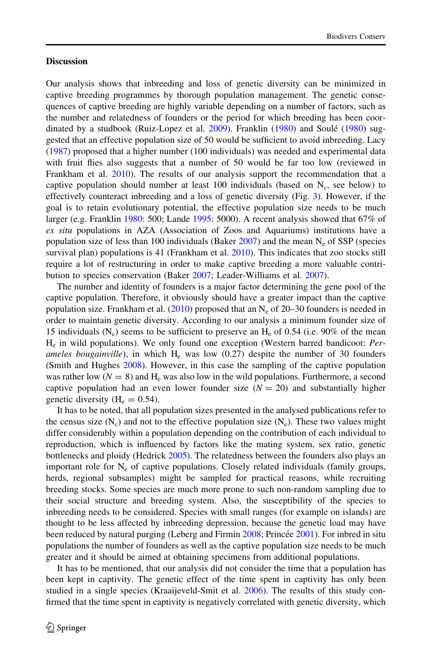## **Discussion**

Our analysis shows that inbreeding and loss of genetic diversity can be minimized in captive breeding programmes by thorough population management. The genetic consequences of captive breeding are highly variable depending on a number of factors, such as the number and relatedness of founders or the period for which breeding has been coor-dinated by a studbook (Ruiz-Lopez et al. [2009](#page-17-0)). Franklin [\(1980](#page-16-0)) and Soulé ([1980\)](#page-18-0) suggested that an effective population size of 50 would be sufficient to avoid inbreeding. Lacy ([1987\)](#page-17-0) proposed that a higher number (100 individuals) was needed and experimental data with fruit flies also suggests that a number of 50 would be far too low (reviewed in Frankham et al. [2010\)](#page-16-0). The results of our analysis support the recommendation that a captive population should number at least 100 individuals (based on  $N_c$ , see below) to effectively counteract inbreeding and a loss of genetic diversity (Fig. [3](#page-8-0)). However, if the goal is to retain evolutionary potential, the effective population size needs to be much larger (e.g. Franklin [1980:](#page-16-0) 500; Lande [1995](#page-17-0): 5000). A recent analysis showed that 67% of ex situ populations in AZA (Association of Zoos and Aquariums) institutions have a population size of less than 100 individuals (Baker [2007\)](#page-15-0) and the mean  $N_e$  of SSP (species survival plan) populations is 41 (Frankham et al. [2010\)](#page-16-0). This indicates that zoo stocks still require a lot of restructuring in order to make captive breeding a more valuable contribution to species conservation (Baker [2007;](#page-15-0) Leader-Williams et al. [2007\)](#page-17-0).

The number and identity of founders is a major factor determining the gene pool of the captive population. Therefore, it obviously should have a greater impact than the captive population size. Frankham et al.  $(2010)$  $(2010)$  proposed that an N<sub>e</sub> of 20–30 founders is needed in order to maintain genetic diversity. According to our analysis a minimum founder size of 15 individuals  $(N_c)$  seems to be sufficient to preserve an  $H_e$  of 0.54 (i.e. 90% of the mean He in wild populations). We only found one exception (Western barred bandicoot: Perameles bougainville), in which  $H<sub>e</sub>$  was low (0.27) despite the number of 30 founders (Smith and Hughes [2008](#page-18-0)). However, in this case the sampling of the captive population was rather low ( $N = 8$ ) and H<sub>e</sub> was also low in the wild populations. Furthermore, a second captive population had an even lower founder size  $(N = 20)$  and substantially higher genetic diversity ( $H_e = 0.54$ ).

It has to be noted, that all population sizes presented in the analysed publications refer to the census size  $(N_c)$  and not to the effective population size  $(N_e)$ . These two values might differ considerably within a population depending on the contribution of each individual to reproduction, which is influenced by factors like the mating system, sex ratio, genetic bottlenecks and ploidy (Hedrick [2005](#page-16-0)). The relatedness between the founders also plays an important role for  $N_e$  of captive populations. Closely related individuals (family groups, herds, regional subsamples) might be sampled for practical reasons, while recruiting breeding stocks. Some species are much more prone to such non-random sampling due to their social structure and breeding system. Also, the susceptibility of the species to inbreeding needs to be considered. Species with small ranges (for example on islands) are thought to be less affected by inbreeding depression, because the genetic load may have been reduced by natural purging (Leberg and Firmin [2008;](#page-17-0) Princée [2001](#page-17-0)). For inbred in situ populations the number of founders as well as the captive population size needs to be much greater and it should be aimed at obtaining specimens from additional populations.

It has to be mentioned, that our analysis did not consider the time that a population has been kept in captivity. The genetic effect of the time spent in captivity has only been studied in a single species (Kraaijeveld-Smit et al. [2006\)](#page-17-0). The results of this study confirmed that the time spent in captivity is negatively correlated with genetic diversity, which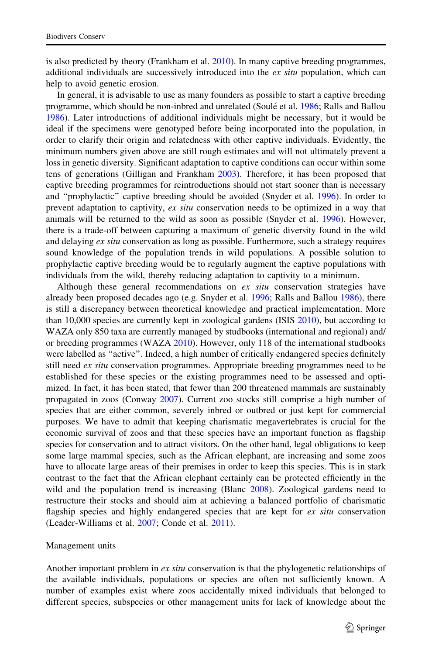is also predicted by theory (Frankham et al. [2010\)](#page-16-0). In many captive breeding programmes, additional individuals are successively introduced into the  $ex\, situ$  population, which can help to avoid genetic erosion.

In general, it is advisable to use as many founders as possible to start a captive breeding programme, which should be non-inbred and unrelated (Soulé et al. [1986](#page-18-0); Ralls and Ballou [1986\)](#page-17-0). Later introductions of additional individuals might be necessary, but it would be ideal if the specimens were genotyped before being incorporated into the population, in order to clarify their origin and relatedness with other captive individuals. Evidently, the minimum numbers given above are still rough estimates and will not ultimately prevent a loss in genetic diversity. Significant adaptation to captive conditions can occur within some tens of generations (Gilligan and Frankham [2003\)](#page-16-0). Therefore, it has been proposed that captive breeding programmes for reintroductions should not start sooner than is necessary and ''prophylactic'' captive breeding should be avoided (Snyder et al. [1996\)](#page-18-0). In order to prevent adaptation to captivity, ex situ conservation needs to be optimized in a way that animals will be returned to the wild as soon as possible (Snyder et al. [1996\)](#page-18-0). However, there is a trade-off between capturing a maximum of genetic diversity found in the wild and delaying ex situ conservation as long as possible. Furthermore, such a strategy requires sound knowledge of the population trends in wild populations. A possible solution to prophylactic captive breeding would be to regularly augment the captive populations with individuals from the wild, thereby reducing adaptation to captivity to a minimum.

Although these general recommendations on  $ex$  situ conservation strategies have already been proposed decades ago (e.g. Snyder et al. [1996](#page-18-0); Ralls and Ballou [1986](#page-17-0)), there is still a discrepancy between theoretical knowledge and practical implementation. More than 10,000 species are currently kept in zoological gardens (ISIS [2010\)](#page-16-0), but according to WAZA only 850 taxa are currently managed by studbooks (international and regional) and/ or breeding programmes (WAZA [2010\)](#page-18-0). However, only 118 of the international studbooks were labelled as ''active''. Indeed, a high number of critically endangered species definitely still need *ex situ* conservation programmes. Appropriate breeding programmes need to be established for these species or the existing programmes need to be assessed and optimized. In fact, it has been stated, that fewer than 200 threatened mammals are sustainably propagated in zoos (Conway [2007\)](#page-16-0). Current zoo stocks still comprise a high number of species that are either common, severely inbred or outbred or just kept for commercial purposes. We have to admit that keeping charismatic megavertebrates is crucial for the economic survival of zoos and that these species have an important function as flagship species for conservation and to attract visitors. On the other hand, legal obligations to keep some large mammal species, such as the African elephant, are increasing and some zoos have to allocate large areas of their premises in order to keep this species. This is in stark contrast to the fact that the African elephant certainly can be protected efficiently in the wild and the population trend is increasing (Blanc [2008\)](#page-15-0). Zoological gardens need to restructure their stocks and should aim at achieving a balanced portfolio of charismatic flagship species and highly endangered species that are kept for ex situ conservation (Leader-Williams et al. [2007;](#page-17-0) Conde et al. [2011](#page-16-0)).

## Management units

Another important problem in ex situ conservation is that the phylogenetic relationships of the available individuals, populations or species are often not sufficiently known. A number of examples exist where zoos accidentally mixed individuals that belonged to different species, subspecies or other management units for lack of knowledge about the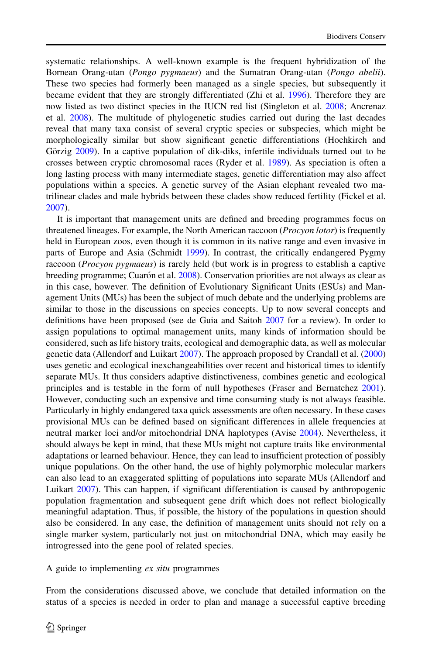systematic relationships. A well-known example is the frequent hybridization of the Bornean Orang-utan (Pongo pygmaeus) and the Sumatran Orang-utan (Pongo abelii). These two species had formerly been managed as a single species, but subsequently it became evident that they are strongly differentiated (Zhi et al. [1996\)](#page-18-0). Therefore they are now listed as two distinct species in the IUCN red list (Singleton et al. [2008](#page-18-0); Ancrenaz et al. [2008\)](#page-15-0). The multitude of phylogenetic studies carried out during the last decades reveal that many taxa consist of several cryptic species or subspecies, which might be morphologically similar but show significant genetic differentiations (Hochkirch and Görzig [2009\)](#page-16-0). In a captive population of dik-diks, infertile individuals turned out to be crosses between cryptic chromosomal races (Ryder et al. [1989](#page-17-0)). As speciation is often a long lasting process with many intermediate stages, genetic differentiation may also affect populations within a species. A genetic survey of the Asian elephant revealed two matrilinear clades and male hybrids between these clades show reduced fertility (Fickel et al. [2007\)](#page-16-0).

It is important that management units are defined and breeding programmes focus on threatened lineages. For example, the North American raccoon (*Procyon lotor*) is frequently held in European zoos, even though it is common in its native range and even invasive in parts of Europe and Asia (Schmidt [1999\)](#page-17-0). In contrast, the critically endangered Pygmy raccoon (*Procyon pygmaeus*) is rarely held (but work is in progress to establish a captive breeding programme; Cuarón et al. [2008](#page-16-0)). Conservation priorities are not always as clear as in this case, however. The definition of Evolutionary Significant Units (ESUs) and Management Units (MUs) has been the subject of much debate and the underlying problems are similar to those in the discussions on species concepts. Up to now several concepts and definitions have been proposed (see de Guia and Saitoh [2007](#page-16-0) for a review). In order to assign populations to optimal management units, many kinds of information should be considered, such as life history traits, ecological and demographic data, as well as molecular genetic data (Allendorf and Luikart [2007\)](#page-15-0). The approach proposed by Crandall et al. ([2000](#page-16-0)) uses genetic and ecological inexchangeabilities over recent and historical times to identify separate MUs. It thus considers adaptive distinctiveness, combines genetic and ecological principles and is testable in the form of null hypotheses (Fraser and Bernatchez [2001](#page-16-0)). However, conducting such an expensive and time consuming study is not always feasible. Particularly in highly endangered taxa quick assessments are often necessary. In these cases provisional MUs can be defined based on significant differences in allele frequencies at neutral marker loci and/or mitochondrial DNA haplotypes (Avise [2004\)](#page-15-0). Nevertheless, it should always be kept in mind, that these MUs might not capture traits like environmental adaptations or learned behaviour. Hence, they can lead to insufficient protection of possibly unique populations. On the other hand, the use of highly polymorphic molecular markers can also lead to an exaggerated splitting of populations into separate MUs (Allendorf and Luikart [2007](#page-15-0)). This can happen, if significant differentiation is caused by anthropogenic population fragmentation and subsequent gene drift which does not reflect biologically meaningful adaptation. Thus, if possible, the history of the populations in question should also be considered. In any case, the definition of management units should not rely on a single marker system, particularly not just on mitochondrial DNA, which may easily be introgressed into the gene pool of related species.

A guide to implementing ex situ programmes

From the considerations discussed above, we conclude that detailed information on the status of a species is needed in order to plan and manage a successful captive breeding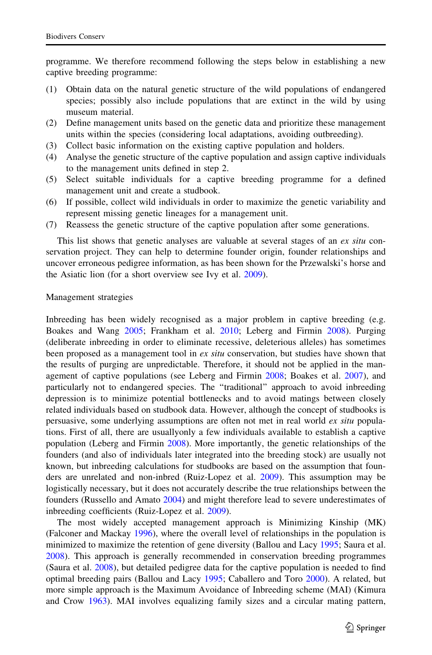programme. We therefore recommend following the steps below in establishing a new captive breeding programme:

- (1) Obtain data on the natural genetic structure of the wild populations of endangered species; possibly also include populations that are extinct in the wild by using museum material.
- (2) Define management units based on the genetic data and prioritize these management units within the species (considering local adaptations, avoiding outbreeding).
- (3) Collect basic information on the existing captive population and holders.
- (4) Analyse the genetic structure of the captive population and assign captive individuals to the management units defined in step 2.
- (5) Select suitable individuals for a captive breeding programme for a defined management unit and create a studbook.
- (6) If possible, collect wild individuals in order to maximize the genetic variability and represent missing genetic lineages for a management unit.
- (7) Reassess the genetic structure of the captive population after some generations.

This list shows that genetic analyses are valuable at several stages of an ex situ conservation project. They can help to determine founder origin, founder relationships and uncover erroneous pedigree information, as has been shown for the Przewalski's horse and the Asiatic lion (for a short overview see Ivy et al. [2009](#page-16-0)).

#### Management strategies

Inbreeding has been widely recognised as a major problem in captive breeding (e.g. Boakes and Wang [2005;](#page-15-0) Frankham et al. [2010;](#page-16-0) Leberg and Firmin [2008\)](#page-17-0). Purging (deliberate inbreeding in order to eliminate recessive, deleterious alleles) has sometimes been proposed as a management tool in *ex situ* conservation, but studies have shown that the results of purging are unpredictable. Therefore, it should not be applied in the management of captive populations (see Leberg and Firmin [2008](#page-17-0); Boakes et al. [2007\)](#page-15-0), and particularly not to endangered species. The ''traditional'' approach to avoid inbreeding depression is to minimize potential bottlenecks and to avoid matings between closely related individuals based on studbook data. However, although the concept of studbooks is persuasive, some underlying assumptions are often not met in real world ex situ populations. First of all, there are usuallyonly a few individuals available to establish a captive population (Leberg and Firmin [2008](#page-17-0)). More importantly, the genetic relationships of the founders (and also of individuals later integrated into the breeding stock) are usually not known, but inbreeding calculations for studbooks are based on the assumption that founders are unrelated and non-inbred (Ruiz-Lopez et al. [2009\)](#page-17-0). This assumption may be logistically necessary, but it does not accurately describe the true relationships between the founders (Russello and Amato [2004](#page-17-0)) and might therefore lead to severe underestimates of inbreeding coefficients (Ruiz-Lopez et al. [2009\)](#page-17-0).

The most widely accepted management approach is Minimizing Kinship (MK) (Falconer and Mackay [1996](#page-16-0)), where the overall level of relationships in the population is minimized to maximize the retention of gene diversity (Ballou and Lacy [1995;](#page-15-0) Saura et al. [2008\)](#page-17-0). This approach is generally recommended in conservation breeding programmes (Saura et al. [2008](#page-17-0)), but detailed pedigree data for the captive population is needed to find optimal breeding pairs (Ballou and Lacy [1995;](#page-15-0) Caballero and Toro [2000](#page-15-0)). A related, but more simple approach is the Maximum Avoidance of Inbreeding scheme (MAI) (Kimura and Crow [1963\)](#page-16-0). MAI involves equalizing family sizes and a circular mating pattern,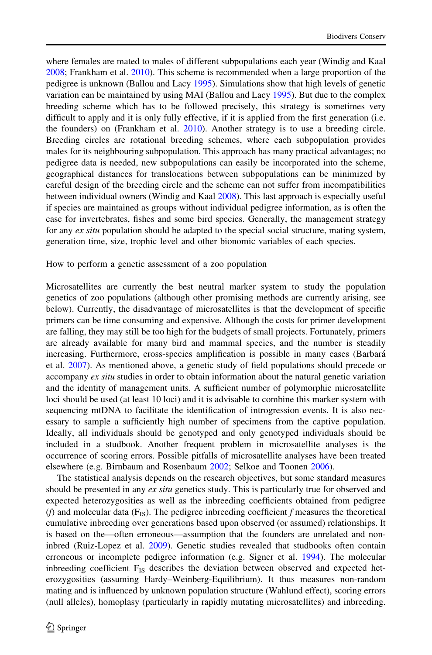where females are mated to males of different subpopulations each year (Windig and Kaal [2008;](#page-18-0) Frankham et al. [2010](#page-16-0)). This scheme is recommended when a large proportion of the pedigree is unknown (Ballou and Lacy [1995\)](#page-15-0). Simulations show that high levels of genetic variation can be maintained by using MAI (Ballou and Lacy [1995](#page-15-0)). But due to the complex breeding scheme which has to be followed precisely, this strategy is sometimes very difficult to apply and it is only fully effective, if it is applied from the first generation (i.e. the founders) on (Frankham et al. [2010\)](#page-16-0). Another strategy is to use a breeding circle. Breeding circles are rotational breeding schemes, where each subpopulation provides males for its neighbouring subpopulation. This approach has many practical advantages; no pedigree data is needed, new subpopulations can easily be incorporated into the scheme, geographical distances for translocations between subpopulations can be minimized by careful design of the breeding circle and the scheme can not suffer from incompatibilities between individual owners (Windig and Kaal [2008\)](#page-18-0). This last approach is especially useful if species are maintained as groups without individual pedigree information, as is often the case for invertebrates, fishes and some bird species. Generally, the management strategy for any ex situ population should be adapted to the special social structure, mating system, generation time, size, trophic level and other bionomic variables of each species.

How to perform a genetic assessment of a zoo population

Microsatellites are currently the best neutral marker system to study the population genetics of zoo populations (although other promising methods are currently arising, see below). Currently, the disadvantage of microsatellites is that the development of specific primers can be time consuming and expensive. Although the costs for primer development are falling, they may still be too high for the budgets of small projects. Fortunately, primers are already available for many bird and mammal species, and the number is steadily increasing. Furthermore, cross-species amplification is possible in many cases (Barbará et al. [2007](#page-15-0)). As mentioned above, a genetic study of field populations should precede or accompany ex situ studies in order to obtain information about the natural genetic variation and the identity of management units. A sufficient number of polymorphic microsatellite loci should be used (at least 10 loci) and it is advisable to combine this marker system with sequencing mtDNA to facilitate the identification of introgression events. It is also necessary to sample a sufficiently high number of specimens from the captive population. Ideally, all individuals should be genotyped and only genotyped individuals should be included in a studbook. Another frequent problem in microsatellite analyses is the occurrence of scoring errors. Possible pitfalls of microsatellite analyses have been treated elsewhere (e.g. Birnbaum and Rosenbaum [2002;](#page-15-0) Selkoe and Toonen [2006](#page-18-0)).

The statistical analysis depends on the research objectives, but some standard measures should be presented in any *ex situ* genetics study. This is particularly true for observed and expected heterozygosities as well as the inbreeding coefficients obtained from pedigree (f) and molecular data  $(F_{IS})$ . The pedigree inbreeding coefficient f measures the theoretical cumulative inbreeding over generations based upon observed (or assumed) relationships. It is based on the—often erroneous—assumption that the founders are unrelated and noninbred (Ruiz-Lopez et al. [2009](#page-17-0)). Genetic studies revealed that studbooks often contain erroneous or incomplete pedigree information (e.g. Signer et al. [1994\)](#page-18-0). The molecular inbreeding coefficient  $F_{1S}$  describes the deviation between observed and expected heterozygosities (assuming Hardy–Weinberg-Equilibrium). It thus measures non-random mating and is influenced by unknown population structure (Wahlund effect), scoring errors (null alleles), homoplasy (particularly in rapidly mutating microsatellites) and inbreeding.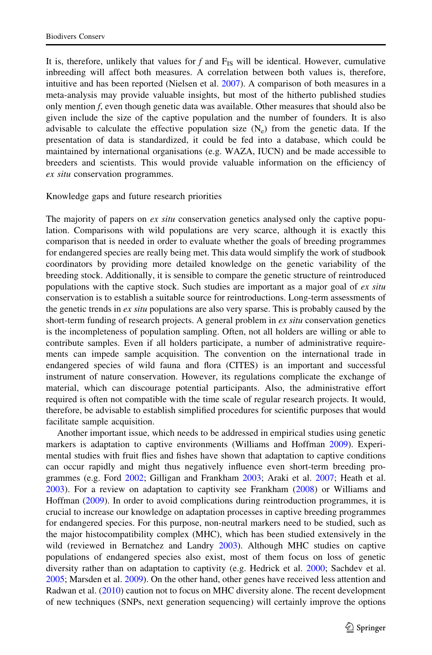It is, therefore, unlikely that values for  $f$  and  $F_{IS}$  will be identical. However, cumulative inbreeding will affect both measures. A correlation between both values is, therefore, intuitive and has been reported (Nielsen et al. [2007](#page-17-0)). A comparison of both measures in a meta-analysis may provide valuable insights, but most of the hitherto published studies only mention f, even though genetic data was available. Other measures that should also be given include the size of the captive population and the number of founders. It is also advisable to calculate the effective population size  $(N_e)$  from the genetic data. If the presentation of data is standardized, it could be fed into a database, which could be maintained by international organisations (e.g. WAZA, IUCN) and be made accessible to breeders and scientists. This would provide valuable information on the efficiency of ex situ conservation programmes.

#### Knowledge gaps and future research priorities

The majority of papers on ex situ conservation genetics analysed only the captive population. Comparisons with wild populations are very scarce, although it is exactly this comparison that is needed in order to evaluate whether the goals of breeding programmes for endangered species are really being met. This data would simplify the work of studbook coordinators by providing more detailed knowledge on the genetic variability of the breeding stock. Additionally, it is sensible to compare the genetic structure of reintroduced populations with the captive stock. Such studies are important as a major goal of  $ex\, situ$ conservation is to establish a suitable source for reintroductions. Long-term assessments of the genetic trends in  $ex$  situ populations are also very sparse. This is probably caused by the short-term funding of research projects. A general problem in ex situ conservation genetics is the incompleteness of population sampling. Often, not all holders are willing or able to contribute samples. Even if all holders participate, a number of administrative requirements can impede sample acquisition. The convention on the international trade in endangered species of wild fauna and flora (CITES) is an important and successful instrument of nature conservation. However, its regulations complicate the exchange of material, which can discourage potential participants. Also, the administrative effort required is often not compatible with the time scale of regular research projects. It would, therefore, be advisable to establish simplified procedures for scientific purposes that would facilitate sample acquisition.

Another important issue, which needs to be addressed in empirical studies using genetic markers is adaptation to captive environments (Williams and Hoffman [2009](#page-18-0)). Experimental studies with fruit flies and fishes have shown that adaptation to captive conditions can occur rapidly and might thus negatively influence even short-term breeding programmes (e.g. Ford [2002](#page-16-0); Gilligan and Frankham [2003;](#page-16-0) Araki et al. [2007](#page-15-0); Heath et al. [2003\)](#page-16-0). For a review on adaptation to captivity see Frankham [\(2008](#page-16-0)) or Williams and Hoffman [\(2009](#page-18-0)). In order to avoid complications during reintroduction programmes, it is crucial to increase our knowledge on adaptation processes in captive breeding programmes for endangered species. For this purpose, non-neutral markers need to be studied, such as the major histocompatibility complex (MHC), which has been studied extensively in the wild (reviewed in Bernatchez and Landry [2003\)](#page-15-0). Although MHC studies on captive populations of endangered species also exist, most of them focus on loss of genetic diversity rather than on adaptation to captivity (e.g. Hedrick et al. [2000;](#page-16-0) Sachdev et al. [2005;](#page-17-0) Marsden et al. [2009\)](#page-17-0). On the other hand, other genes have received less attention and Radwan et al. ([2010\)](#page-17-0) caution not to focus on MHC diversity alone. The recent development of new techniques (SNPs, next generation sequencing) will certainly improve the options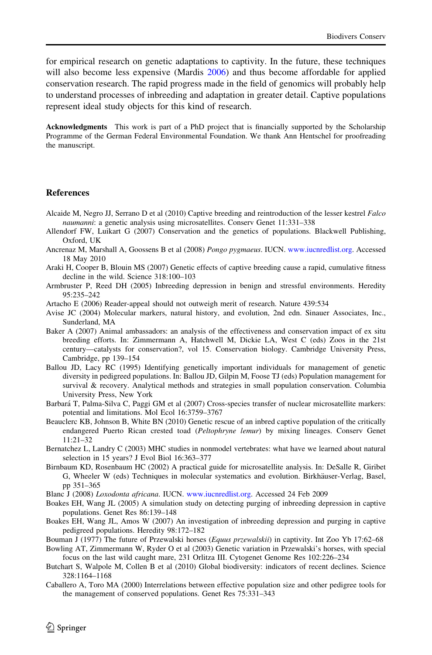<span id="page-15-0"></span>for empirical research on genetic adaptations to captivity. In the future, these techniques will also become less expensive (Mardis [2006\)](#page-17-0) and thus become affordable for applied conservation research. The rapid progress made in the field of genomics will probably help to understand processes of inbreeding and adaptation in greater detail. Captive populations represent ideal study objects for this kind of research.

Acknowledgments This work is part of a PhD project that is financially supported by the Scholarship Programme of the German Federal Environmental Foundation. We thank Ann Hentschel for proofreading the manuscript.

#### **References**

- Alcaide M, Negro JJ, Serrano D et al (2010) Captive breeding and reintroduction of the lesser kestrel Falco naumanni: a genetic analysis using microsatellites. Conserv Genet 11:331–338
- Allendorf FW, Luikart G (2007) Conservation and the genetics of populations. Blackwell Publishing, Oxford, UK
- Ancrenaz M, Marshall A, Goossens B et al (2008) Pongo pygmaeus. IUCN. [www.iucnredlist.org](http://www.iucnredlist.org). Accessed 18 May 2010
- Araki H, Cooper B, Blouin MS (2007) Genetic effects of captive breeding cause a rapid, cumulative fitness decline in the wild. Science 318:100–103

Armbruster P, Reed DH (2005) Inbreeding depression in benign and stressful environments. Heredity  $95:235-242$ 

- Artacho E (2006) Reader-appeal should not outweigh merit of research. Nature 439:534
- Avise JC (2004) Molecular markers, natural history, and evolution, 2nd edn. Sinauer Associates, Inc., Sunderland, MA
- Baker A (2007) Animal ambassadors: an analysis of the effectiveness and conservation impact of ex situ breeding efforts. In: Zimmermann A, Hatchwell M, Dickie LA, West C (eds) Zoos in the 21st century—catalysts for conservation?, vol 15. Conservation biology. Cambridge University Press, Cambridge, pp 139–154
- Ballou JD, Lacy RC (1995) Identifying genetically important individuals for management of genetic diversity in pedigreed populations. In: Ballou JD, Gilpin M, Foose TJ (eds) Population management for survival & recovery. Analytical methods and strategies in small population conservation. Columbia University Press, New York
- Barbará T, Palma-Silva C, Paggi GM et al (2007) Cross-species transfer of nuclear microsatellite markers: potential and limitations. Mol Ecol 16:3759–3767
- Beauclerc KB, Johnson B, White BN (2010) Genetic rescue of an inbred captive population of the critically endangered Puerto Rican crested toad (Peltophryne lemur) by mixing lineages. Conserv Genet 11:21–32
- Bernatchez L, Landry C (2003) MHC studies in nonmodel vertebrates: what have we learned about natural selection in 15 years? J Evol Biol 16:363–377
- Birnbaum KD, Rosenbaum HC (2002) A practical guide for microsatellite analysis. In: DeSalle R, Giribet G, Wheeler W (eds) Techniques in molecular systematics and evolution. Birkhäuser-Verlag, Basel, pp 351–365
- Blanc J (2008) Loxodonta africana. IUCN. [www.iucnredlist.org](http://www.iucnredlist.org). Accessed 24 Feb 2009
- Boakes EH, Wang JL (2005) A simulation study on detecting purging of inbreeding depression in captive populations. Genet Res 86:139–148
- Boakes EH, Wang JL, Amos W (2007) An investigation of inbreeding depression and purging in captive pedigreed populations. Heredity 98:172–182
- Bouman J (1977) The future of Przewalski horses (Equus przewalskii) in captivity. Int Zoo Yb 17:62–68
- Bowling AT, Zimmermann W, Ryder O et al (2003) Genetic variation in Przewalski's horses, with special focus on the last wild caught mare, 231 Orlitza III. Cytogenet Genome Res 102:226–234
- Butchart S, Walpole M, Collen B et al (2010) Global biodiversity: indicators of recent declines. Science 328:1164–1168
- Caballero A, Toro MA (2000) Interrelations between effective population size and other pedigree tools for the management of conserved populations. Genet Res 75:331–343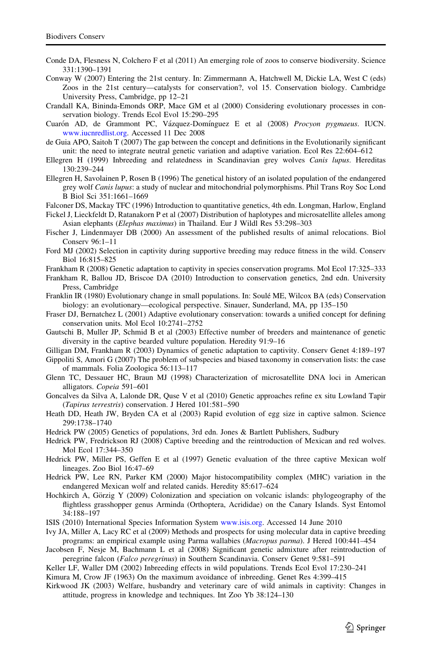- <span id="page-16-0"></span>Conde DA, Flesness N, Colchero F et al (2011) An emerging role of zoos to conserve biodiversity. Science 331:1390–1391
- Conway W (2007) Entering the 21st century. In: Zimmermann A, Hatchwell M, Dickie LA, West C (eds) Zoos in the 21st century—catalysts for conservation?, vol 15. Conservation biology. Cambridge University Press, Cambridge, pp 12–21
- Crandall KA, Bininda-Emonds ORP, Mace GM et al (2000) Considering evolutionary processes in conservation biology. Trends Ecol Evol 15:290–295
- Cuarón AD, de Grammont PC, Vázquez-Domínguez E et al (2008) Procyon pygmaeus. IUCN. [www.iucnredlist.org](http://www.iucnredlist.org). Accessed 11 Dec 2008
- de Guia APO, Saitoh T (2007) The gap between the concept and definitions in the Evolutionarily significant unit: the need to integrate neutral genetic variation and adaptive variation. Ecol Res 22:604–612
- Ellegren H (1999) Inbreeding and relatedness in Scandinavian grey wolves Canis lupus. Hereditas 130:239–244
- Ellegren H, Savolainen P, Rosen B (1996) The genetical history of an isolated population of the endangered grey wolf Canis lupus: a study of nuclear and mitochondrial polymorphisms. Phil Trans Roy Soc Lond B Biol Sci 351:1661–1669
- Falconer DS, Mackay TFC (1996) Introduction to quantitative genetics, 4th edn. Longman, Harlow, England
- Fickel J, Lieckfeldt D, Ratanakorn P et al (2007) Distribution of haplotypes and microsatellite alleles among Asian elephants (Elephas maximus) in Thailand. Eur J Wildl Res 53:298–303
- Fischer J, Lindenmayer DB (2000) An assessment of the published results of animal relocations. Biol Conserv 96:1–11
- Ford MJ (2002) Selection in captivity during supportive breeding may reduce fitness in the wild. Conserv Biol 16:815–825
- Frankham R (2008) Genetic adaptation to captivity in species conservation programs. Mol Ecol 17:325–333
- Frankham R, Ballou JD, Briscoe DA (2010) Introduction to conservation genetics, 2nd edn. University Press, Cambridge
- Franklin IR (1980) Evolutionary change in small populations. In: Soulé ME, Wilcox BA (eds) Conservation biology: an evolutionary—ecological perspective. Sinauer, Sunderland, MA, pp 135–150
- Fraser DJ, Bernatchez L (2001) Adaptive evolutionary conservation: towards a unified concept for defining conservation units. Mol Ecol 10:2741–2752
- Gautschi B, Muller JP, Schmid B et al (2003) Effective number of breeders and maintenance of genetic diversity in the captive bearded vulture population. Heredity 91:9–16
- Gilligan DM, Frankham R (2003) Dynamics of genetic adaptation to captivity. Conserv Genet 4:189–197 Gippoliti S, Amori G (2007) The problem of subspecies and biased taxonomy in conservation lists: the case of mammals. Folia Zoologica 56:113–117
- Glenn TC, Dessauer HC, Braun MJ (1998) Characterization of microsatellite DNA loci in American alligators. Copeia 591–601
- Goncalves da Silva A, Lalonde DR, Quse V et al (2010) Genetic approaches refine ex situ Lowland Tapir (Tapirus terrestris) conservation. J Hered 101:581–590
- Heath DD, Heath JW, Bryden CA et al (2003) Rapid evolution of egg size in captive salmon. Science 299:1738–1740
- Hedrick PW (2005) Genetics of populations, 3rd edn. Jones & Bartlett Publishers, Sudbury
- Hedrick PW, Fredrickson RJ (2008) Captive breeding and the reintroduction of Mexican and red wolves. Mol Ecol 17:344–350
- Hedrick PW, Miller PS, Geffen E et al (1997) Genetic evaluation of the three captive Mexican wolf lineages. Zoo Biol 16:47–69
- Hedrick PW, Lee RN, Parker KM (2000) Major histocompatibility complex (MHC) variation in the endangered Mexican wolf and related canids. Heredity 85:617–624
- Hochkirch A, Görzig Y (2009) Colonization and speciation on volcanic islands: phylogeography of the flightless grasshopper genus Arminda (Orthoptera, Acrididae) on the Canary Islands. Syst Entomol 34:188–197
- ISIS (2010) International Species Information System [www.isis.org.](http://www.isis.org) Accessed 14 June 2010
- Ivy JA, Miller A, Lacy RC et al (2009) Methods and prospects for using molecular data in captive breeding programs: an empirical example using Parma wallabies (Macropus parma). J Hered 100:441–454
- Jacobsen F, Nesje M, Bachmann L et al (2008) Significant genetic admixture after reintroduction of peregrine falcon (Falco peregrinus) in Southern Scandinavia. Conserv Genet 9:581–591
- Keller LF, Waller DM (2002) Inbreeding effects in wild populations. Trends Ecol Evol 17:230–241
- Kimura M, Crow JF (1963) On the maximum avoidance of inbreeding. Genet Res 4:399–415
- Kirkwood JK (2003) Welfare, husbandry and veterinary care of wild animals in captivity: Changes in attitude, progress in knowledge and techniques. Int Zoo Yb 38:124–130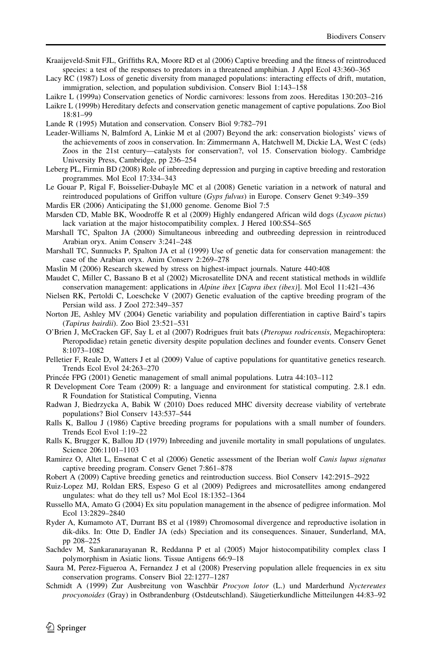- <span id="page-17-0"></span>Kraaijeveld-Smit FJL, Griffiths RA, Moore RD et al (2006) Captive breeding and the fitness of reintroduced species: a test of the responses to predators in a threatened amphibian. J Appl Ecol 43:360–365
- Lacy RC (1987) Loss of genetic diversity from managed populations: interacting effects of drift, mutation, immigration, selection, and population subdivision. Conserv Biol 1:143–158

Laikre L (1999a) Conservation genetics of Nordic carnivores: lessons from zoos. Hereditas 130:203–216

Laikre L (1999b) Hereditary defects and conservation genetic management of captive populations. Zoo Biol 18:81–99

Lande R (1995) Mutation and conservation. Conserv Biol 9:782–791

- Leader-Williams N, Balmford A, Linkie M et al (2007) Beyond the ark: conservation biologists' views of the achievements of zoos in conservation. In: Zimmermann A, Hatchwell M, Dickie LA, West C (eds) Zoos in the 21st century—catalysts for conservation?, vol 15. Conservation biology. Cambridge University Press, Cambridge, pp 236–254
- Leberg PL, Firmin BD (2008) Role of inbreeding depression and purging in captive breeding and restoration programmes. Mol Ecol 17:334–343
- Le Gouar P, Rigal F, Boisselier-Dubayle MC et al (2008) Genetic variation in a network of natural and reintroduced populations of Griffon vulture (Gyps fulvus) in Europe. Conserv Genet 9:349-359
- Mardis ER (2006) Anticipating the \$1,000 genome. Genome Biol 7:5
- Marsden CD, Mable BK, Woodroffe R et al (2009) Highly endangered African wild dogs (Lycaon pictus) lack variation at the major histocompatibility complex. J Hered 100:S54–S65
- Marshall TC, Spalton JA (2000) Simultaneous inbreeding and outbreeding depression in reintroduced Arabian oryx. Anim Conserv 3:241–248
- Marshall TC, Sunnucks P, Spalton JA et al (1999) Use of genetic data for conservation management: the case of the Arabian oryx. Anim Conserv 2:269–278
- Maslin M (2006) Research skewed by stress on highest-impact journals. Nature 440:408
- Maudet C, Miller C, Bassano B et al (2002) Microsatellite DNA and recent statistical methods in wildlife conservation management: applications in Alpine ibex [Capra ibex (ibex)]. Mol Ecol 11:421–436
- Nielsen RK, Pertoldi C, Loeschcke V (2007) Genetic evaluation of the captive breeding program of the Persian wild ass. J Zool 272:349–357
- Norton JE, Ashley MV (2004) Genetic variability and population differentiation in captive Baird's tapirs (Tapirus bairdii). Zoo Biol 23:521–531
- O'Brien J, McCracken GF, Say L et al (2007) Rodrigues fruit bats (Pteropus rodricensis, Megachiroptera: Pteropodidae) retain genetic diversity despite population declines and founder events. Conserv Genet 8:1073–1082
- Pelletier F, Reale D, Watters J et al (2009) Value of captive populations for quantitative genetics research. Trends Ecol Evol 24:263–270
- Princée FPG (2001) Genetic management of small animal populations. Lutra 44:103–112
- R Development Core Team (2009) R: a language and environment for statistical computing. 2.8.1 edn. R Foundation for Statistical Computing, Vienna
- Radwan J, Biedrzycka A, Babik W (2010) Does reduced MHC diversity decrease viability of vertebrate populations? Biol Conserv 143:537–544
- Ralls K, Ballou J (1986) Captive breeding programs for populations with a small number of founders. Trends Ecol Evol 1:19–22
- Ralls K, Brugger K, Ballou JD (1979) Inbreeding and juvenile mortality in small populations of ungulates. Science 206:1101–1103
- Ramirez O, Altet L, Ensenat C et al (2006) Genetic assessment of the Iberian wolf Canis lupus signatus captive breeding program. Conserv Genet 7:861–878
- Robert A (2009) Captive breeding genetics and reintroduction success. Biol Conserv 142:2915–2922
- Ruiz-Lopez MJ, Roldan ERS, Espeso G et al (2009) Pedigrees and microsatellites among endangered ungulates: what do they tell us? Mol Ecol 18:1352–1364
- Russello MA, Amato G (2004) Ex situ population management in the absence of pedigree information. Mol Ecol 13:2829–2840
- Ryder A, Kumamoto AT, Durrant BS et al (1989) Chromosomal divergence and reproductive isolation in dik-diks. In: Otte D, Endler JA (eds) Speciation and its consequences. Sinauer, Sunderland, MA, pp 208–225
- Sachdev M, Sankaranarayanan R, Reddanna P et al (2005) Major histocompatibility complex class I polymorphism in Asiatic lions. Tissue Antigens 66:9–18
- Saura M, Perez-Figueroa A, Fernandez J et al (2008) Preserving population allele frequencies in ex situ conservation programs. Conserv Biol 22:1277–1287
- Schmidt A (1999) Zur Ausbreitung von Waschbär Procyon lotor (L.) und Marderhund Nyctereutes procyonoides (Gray) in Ostbrandenburg (Ostdeutschland). Säugetierkundliche Mitteilungen 44:83-92